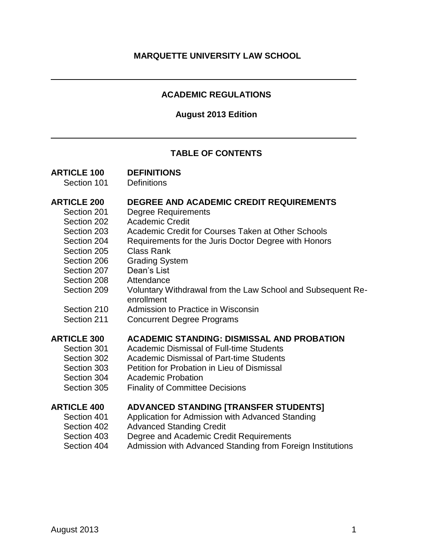## **ACADEMIC REGULATIONS**

#### **August 2013 Edition**

## **TABLE OF CONTENTS**

## **ARTICLE 100 DEFINITIONS**

Section 101 Definitions

#### **ARTICLE 200 DEGREE AND ACADEMIC CREDIT REQUIREMENTS**

- Section 201 Degree Requirements
- Section 202 Academic Credit
- Section 203 Academic Credit for Courses Taken at Other Schools
- Section 204 Requirements for the Juris Doctor Degree with Honors
- Section 205 Class Rank
- Section 206 Grading System
- Section 207 Dean's List
- Section 208 Attendance
- Section 209 Voluntary Withdrawal from the Law School and Subsequent Reenrollment
- Section 210 Admission to Practice in Wisconsin
- Section 211 Concurrent Degree Programs

## **ARTICLE 300 ACADEMIC STANDING: DISMISSAL AND PROBATION**

- Section 301 Academic Dismissal of Full-time Students
- Section 302 Academic Dismissal of Part-time Students
- Section 303 Petition for Probation in Lieu of Dismissal
- Section 304 Academic Probation
- Section 305 Finality of Committee Decisions

## **ARTICLE 400 ADVANCED STANDING [TRANSFER STUDENTS]**

- Section 401 Application for Admission with Advanced Standing
- Section 402 Advanced Standing Credit
- Section 403 Degree and Academic Credit Requirements
- Section 404 Admission with Advanced Standing from Foreign Institutions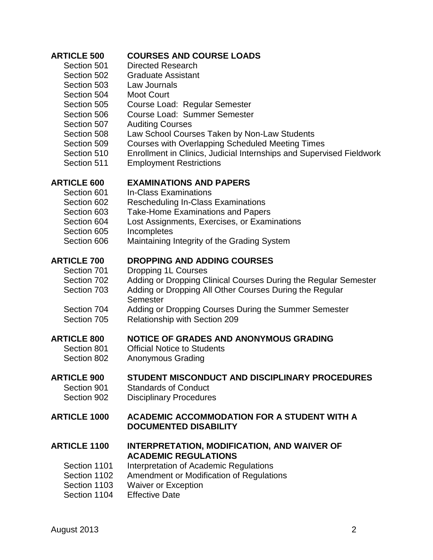| <b>ARTICLE 500</b>  | <b>COURSES AND COURSE LOADS</b>                                             |
|---------------------|-----------------------------------------------------------------------------|
| Section 501         | <b>Directed Research</b>                                                    |
| Section 502         | <b>Graduate Assistant</b>                                                   |
| Section 503         | Law Journals                                                                |
| Section 504         | <b>Moot Court</b>                                                           |
| Section 505         | Course Load: Regular Semester                                               |
| Section 506         | <b>Course Load: Summer Semester</b>                                         |
| Section 507         | <b>Auditing Courses</b>                                                     |
| Section 508         | Law School Courses Taken by Non-Law Students                                |
| Section 509         | <b>Courses with Overlapping Scheduled Meeting Times</b>                     |
| Section 510         | Enrollment in Clinics, Judicial Internships and Supervised Fieldwork        |
| Section 511         | <b>Employment Restrictions</b>                                              |
| <b>ARTICLE 600</b>  | <b>EXAMINATIONS AND PAPERS</b>                                              |
| Section 601         | <b>In-Class Examinations</b>                                                |
| Section 602         | <b>Rescheduling In-Class Examinations</b>                                   |
| Section 603         | <b>Take-Home Examinations and Papers</b>                                    |
| Section 604         | Lost Assignments, Exercises, or Examinations                                |
| Section 605         | Incompletes                                                                 |
| Section 606         | Maintaining Integrity of the Grading System                                 |
| <b>ARTICLE 700</b>  | <b>DROPPING AND ADDING COURSES</b>                                          |
| Section 701         | Dropping 1L Courses                                                         |
| Section 702         | Adding or Dropping Clinical Courses During the Regular Semester             |
| Section 703         | Adding or Dropping All Other Courses During the Regular<br>Semester         |
| Section 704         | Adding or Dropping Courses During the Summer Semester                       |
| Section 705         | <b>Relationship with Section 209</b>                                        |
| <b>ARTICLE 800</b>  | NOTICE OF GRADES AND ANONYMOUS GRADING                                      |
| Section 801         | <b>Official Notice to Students</b>                                          |
| Section 802         | Anonymous Grading                                                           |
| <b>ARTICLE 900</b>  | STUDENT MISCONDUCT AND DISCIPLINARY PROCEDURES                              |
| Section 901         | <b>Standards of Conduct</b>                                                 |
| Section 902         | <b>Disciplinary Procedures</b>                                              |
| <b>ARTICLE 1000</b> | ACADEMIC ACCOMMODATION FOR A STUDENT WITH A<br><b>DOCUMENTED DISABILITY</b> |
| <b>ARTICLE 1100</b> | INTERPRETATION, MODIFICATION, AND WAIVER OF<br><b>ACADEMIC REGULATIONS</b>  |
| Section 1101        | Interpretation of Academic Regulations                                      |
| Section 1102        | Amendment or Modification of Regulations                                    |
| Section 1103        | <b>Waiver or Exception</b>                                                  |
| Section 1104        | <b>Effective Date</b>                                                       |
|                     |                                                                             |
|                     |                                                                             |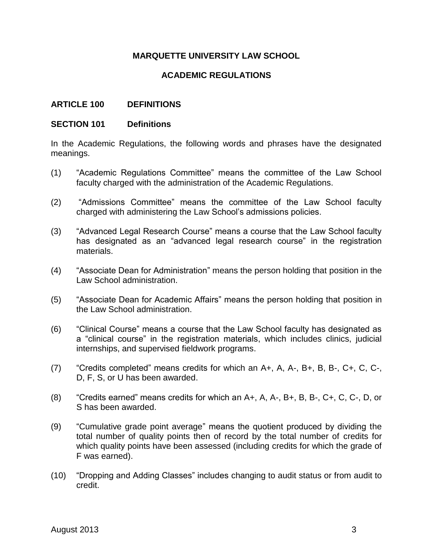## **MARQUETTE UNIVERSITY LAW SCHOOL**

## **ACADEMIC REGULATIONS**

#### **ARTICLE 100 DEFINITIONS**

#### **SECTION 101 Definitions**

In the Academic Regulations, the following words and phrases have the designated meanings.

- (1) "Academic Regulations Committee" means the committee of the Law School faculty charged with the administration of the Academic Regulations.
- (2) "Admissions Committee" means the committee of the Law School faculty charged with administering the Law School's admissions policies.
- (3) "Advanced Legal Research Course" means a course that the Law School faculty has designated as an "advanced legal research course" in the registration materials.
- (4) "Associate Dean for Administration" means the person holding that position in the Law School administration.
- (5) "Associate Dean for Academic Affairs" means the person holding that position in the Law School administration.
- (6) "Clinical Course" means a course that the Law School faculty has designated as a "clinical course" in the registration materials, which includes clinics, judicial internships, and supervised fieldwork programs.
- (7) "Credits completed" means credits for which an A+, A, A-, B+, B, B-, C+, C, C-, D, F, S, or U has been awarded.
- (8) "Credits earned" means credits for which an A+, A, A-, B+, B, B-, C+, C, C-, D, or S has been awarded.
- (9) "Cumulative grade point average" means the quotient produced by dividing the total number of quality points then of record by the total number of credits for which quality points have been assessed (including credits for which the grade of F was earned).
- (10) "Dropping and Adding Classes" includes changing to audit status or from audit to credit.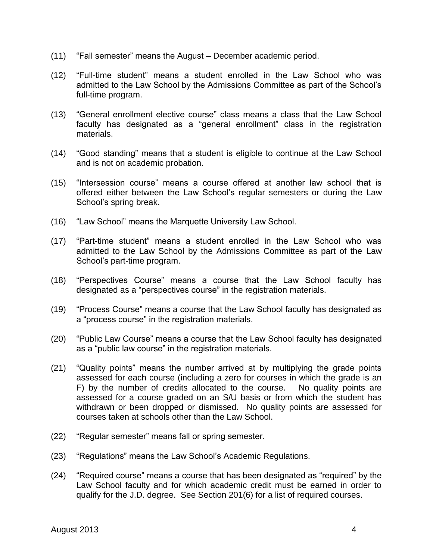- (11) "Fall semester" means the August December academic period.
- (12) "Full-time student" means a student enrolled in the Law School who was admitted to the Law School by the Admissions Committee as part of the School's full-time program.
- (13) "General enrollment elective course" class means a class that the Law School faculty has designated as a "general enrollment" class in the registration materials.
- (14) "Good standing" means that a student is eligible to continue at the Law School and is not on academic probation.
- (15) "Intersession course" means a course offered at another law school that is offered either between the Law School's regular semesters or during the Law School's spring break.
- (16) "Law School" means the Marquette University Law School.
- (17) "Part-time student" means a student enrolled in the Law School who was admitted to the Law School by the Admissions Committee as part of the Law School's part-time program.
- (18) "Perspectives Course" means a course that the Law School faculty has designated as a "perspectives course" in the registration materials.
- (19) "Process Course" means a course that the Law School faculty has designated as a "process course" in the registration materials.
- (20) "Public Law Course" means a course that the Law School faculty has designated as a "public law course" in the registration materials.
- (21) "Quality points" means the number arrived at by multiplying the grade points assessed for each course (including a zero for courses in which the grade is an F) by the number of credits allocated to the course. No quality points are assessed for a course graded on an S/U basis or from which the student has withdrawn or been dropped or dismissed. No quality points are assessed for courses taken at schools other than the Law School.
- (22) "Regular semester" means fall or spring semester.
- (23) "Regulations" means the Law School's Academic Regulations.
- (24) "Required course" means a course that has been designated as "required" by the Law School faculty and for which academic credit must be earned in order to qualify for the J.D. degree. See Section 201(6) for a list of required courses.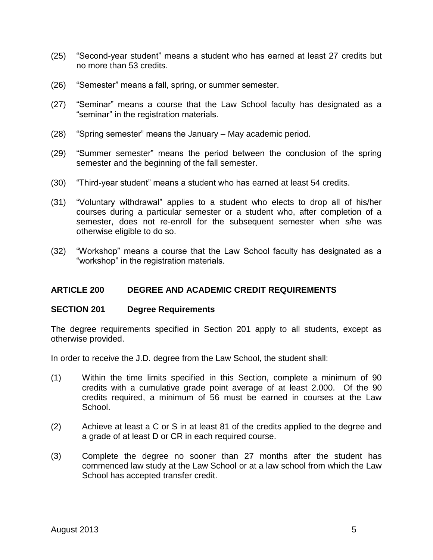- (25) "Second-year student" means a student who has earned at least 27 credits but no more than 53 credits.
- (26) "Semester" means a fall, spring, or summer semester.
- (27) "Seminar" means a course that the Law School faculty has designated as a "seminar" in the registration materials.
- (28) "Spring semester" means the January May academic period.
- (29) "Summer semester" means the period between the conclusion of the spring semester and the beginning of the fall semester.
- (30) "Third-year student" means a student who has earned at least 54 credits.
- (31) "Voluntary withdrawal" applies to a student who elects to drop all of his/her courses during a particular semester or a student who, after completion of a semester, does not re-enroll for the subsequent semester when s/he was otherwise eligible to do so.
- (32) "Workshop" means a course that the Law School faculty has designated as a "workshop" in the registration materials.

#### **ARTICLE 200 DEGREE AND ACADEMIC CREDIT REQUIREMENTS**

#### **SECTION 201 Degree Requirements**

The degree requirements specified in Section 201 apply to all students, except as otherwise provided.

In order to receive the J.D. degree from the Law School, the student shall:

- (1) Within the time limits specified in this Section, complete a minimum of 90 credits with a cumulative grade point average of at least 2.000. Of the 90 credits required, a minimum of 56 must be earned in courses at the Law School.
- (2) Achieve at least a C or S in at least 81 of the credits applied to the degree and a grade of at least D or CR in each required course.
- (3) Complete the degree no sooner than 27 months after the student has commenced law study at the Law School or at a law school from which the Law School has accepted transfer credit.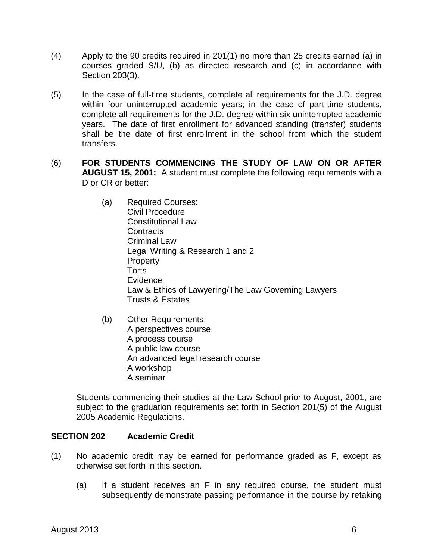- (4) Apply to the 90 credits required in 201(1) no more than 25 credits earned (a) in courses graded S/U, (b) as directed research and (c) in accordance with Section 203(3).
- (5) In the case of full-time students, complete all requirements for the J.D. degree within four uninterrupted academic years; in the case of part-time students, complete all requirements for the J.D. degree within six uninterrupted academic years. The date of first enrollment for advanced standing (transfer) students shall be the date of first enrollment in the school from which the student transfers.
- (6) **FOR STUDENTS COMMENCING THE STUDY OF LAW ON OR AFTER AUGUST 15, 2001:** A student must complete the following requirements with a D or CR or better:
	- (a) Required Courses: Civil Procedure Constitutional Law **Contracts** Criminal Law Legal Writing & Research 1 and 2 **Property Torts** Evidence Law & Ethics of Lawyering/The Law Governing Lawyers Trusts & Estates
	- (b) Other Requirements: A perspectives course A process course A public law course An advanced legal research course A workshop A seminar

Students commencing their studies at the Law School prior to August, 2001, are subject to the graduation requirements set forth in Section 201(5) of the August 2005 Academic Regulations.

## **SECTION 202 Academic Credit**

- (1) No academic credit may be earned for performance graded as F, except as otherwise set forth in this section.
	- (a) If a student receives an F in any required course, the student must subsequently demonstrate passing performance in the course by retaking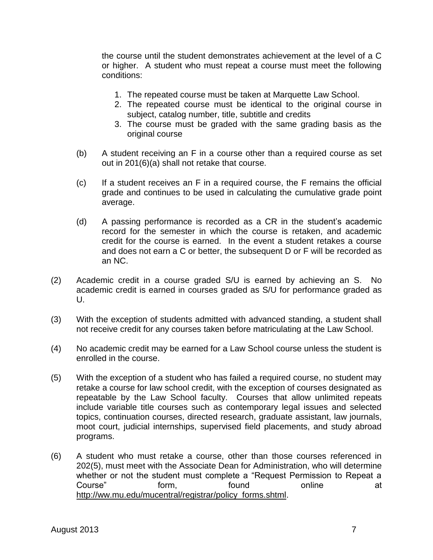the course until the student demonstrates achievement at the level of a C or higher. A student who must repeat a course must meet the following conditions:

- 1. The repeated course must be taken at Marquette Law School.
- 2. The repeated course must be identical to the original course in subject, catalog number, title, subtitle and credits
- 3. The course must be graded with the same grading basis as the original course
- (b) A student receiving an F in a course other than a required course as set out in 201(6)(a) shall not retake that course.
- (c) If a student receives an F in a required course, the F remains the official grade and continues to be used in calculating the cumulative grade point average.
- (d) A passing performance is recorded as a CR in the student's academic record for the semester in which the course is retaken, and academic credit for the course is earned. In the event a student retakes a course and does not earn a C or better, the subsequent D or F will be recorded as an NC.
- (2) Academic credit in a course graded S/U is earned by achieving an S. No academic credit is earned in courses graded as S/U for performance graded as U.
- (3) With the exception of students admitted with advanced standing, a student shall not receive credit for any courses taken before matriculating at the Law School.
- (4) No academic credit may be earned for a Law School course unless the student is enrolled in the course.
- (5) With the exception of a student who has failed a required course, no student may retake a course for law school credit, with the exception of courses designated as repeatable by the Law School faculty. Courses that allow unlimited repeats include variable title courses such as contemporary legal issues and selected topics, continuation courses, directed research, graduate assistant, law journals, moot court, judicial internships, supervised field placements, and study abroad programs.
- (6) A student who must retake a course, other than those courses referenced in 202(5), must meet with the Associate Dean for Administration, who will determine whether or not the student must complete a "Request Permission to Repeat a Course" form, found online at [http://ww.mu.edu/mucentral/registrar/policy\\_forms.shtml.](http://ww.mu.edu/mucentral/registrar/policy_forms.shtml)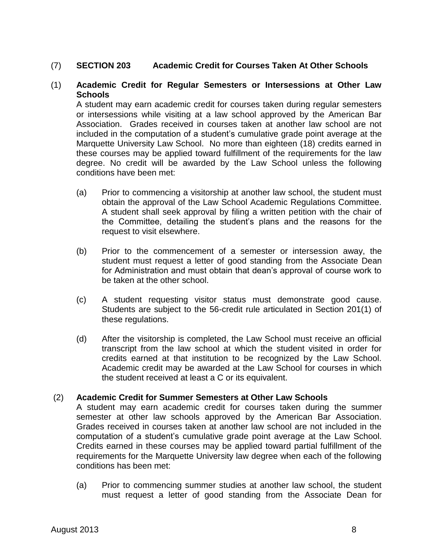## (7) **SECTION 203 Academic Credit for Courses Taken At Other Schools**

#### (1) **Academic Credit for Regular Semesters or Intersessions at Other Law Schools**

A student may earn academic credit for courses taken during regular semesters or intersessions while visiting at a law school approved by the American Bar Association. Grades received in courses taken at another law school are not included in the computation of a student's cumulative grade point average at the Marquette University Law School. No more than eighteen (18) credits earned in these courses may be applied toward fulfillment of the requirements for the law degree. No credit will be awarded by the Law School unless the following conditions have been met:

- (a) Prior to commencing a visitorship at another law school, the student must obtain the approval of the Law School Academic Regulations Committee. A student shall seek approval by filing a written petition with the chair of the Committee, detailing the student's plans and the reasons for the request to visit elsewhere.
- (b) Prior to the commencement of a semester or intersession away, the student must request a letter of good standing from the Associate Dean for Administration and must obtain that dean's approval of course work to be taken at the other school.
- (c) A student requesting visitor status must demonstrate good cause. Students are subject to the 56-credit rule articulated in Section 201(1) of these regulations.
- (d) After the visitorship is completed, the Law School must receive an official transcript from the law school at which the student visited in order for credits earned at that institution to be recognized by the Law School. Academic credit may be awarded at the Law School for courses in which the student received at least a C or its equivalent.

#### (2) **Academic Credit for Summer Semesters at Other Law Schools**

A student may earn academic credit for courses taken during the summer semester at other law schools approved by the American Bar Association. Grades received in courses taken at another law school are not included in the computation of a student's cumulative grade point average at the Law School. Credits earned in these courses may be applied toward partial fulfillment of the requirements for the Marquette University law degree when each of the following conditions has been met:

(a) Prior to commencing summer studies at another law school, the student must request a letter of good standing from the Associate Dean for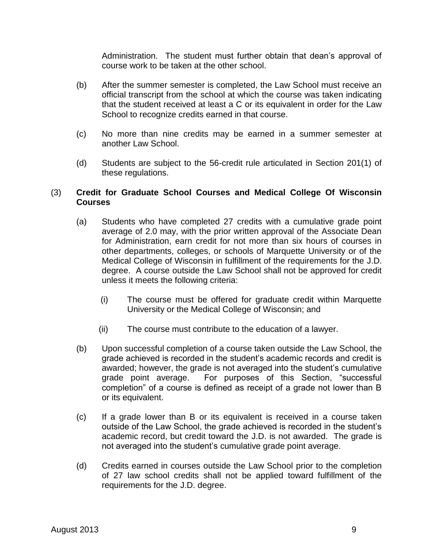Administration. The student must further obtain that dean's approval of course work to be taken at the other school.

- (b) After the summer semester is completed, the Law School must receive an official transcript from the school at which the course was taken indicating that the student received at least a C or its equivalent in order for the Law School to recognize credits earned in that course.
- (c) No more than nine credits may be earned in a summer semester at another Law School.
- (d) Students are subject to the 56-credit rule articulated in Section 201(1) of these regulations.

## (3) **Credit for Graduate School Courses and Medical College Of Wisconsin Courses**

- (a) Students who have completed 27 credits with a cumulative grade point average of 2.0 may, with the prior written approval of the Associate Dean for Administration, earn credit for not more than six hours of courses in other departments, colleges, or schools of Marquette University or of the Medical College of Wisconsin in fulfillment of the requirements for the J.D. degree. A course outside the Law School shall not be approved for credit unless it meets the following criteria:
	- (i) The course must be offered for graduate credit within Marquette University or the Medical College of Wisconsin; and
	- (ii) The course must contribute to the education of a lawyer.
- (b) Upon successful completion of a course taken outside the Law School, the grade achieved is recorded in the student's academic records and credit is awarded; however, the grade is not averaged into the student's cumulative grade point average. For purposes of this Section, "successful completion" of a course is defined as receipt of a grade not lower than B or its equivalent.
- (c) If a grade lower than B or its equivalent is received in a course taken outside of the Law School, the grade achieved is recorded in the student's academic record, but credit toward the J.D. is not awarded. The grade is not averaged into the student's cumulative grade point average.
- (d) Credits earned in courses outside the Law School prior to the completion of 27 law school credits shall not be applied toward fulfillment of the requirements for the J.D. degree.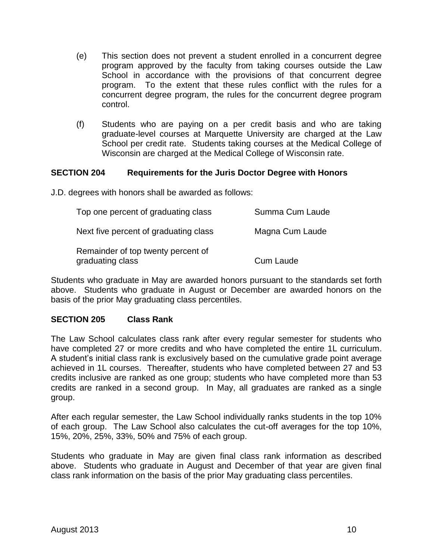- (e) This section does not prevent a student enrolled in a concurrent degree program approved by the faculty from taking courses outside the Law School in accordance with the provisions of that concurrent degree program. To the extent that these rules conflict with the rules for a concurrent degree program, the rules for the concurrent degree program control.
- (f) Students who are paying on a per credit basis and who are taking graduate-level courses at Marquette University are charged at the Law School per credit rate. Students taking courses at the Medical College of Wisconsin are charged at the Medical College of Wisconsin rate.

## **SECTION 204 Requirements for the Juris Doctor Degree with Honors**

J.D. degrees with honors shall be awarded as follows:

| Top one percent of graduating class                    | Summa Cum Laude  |
|--------------------------------------------------------|------------------|
| Next five percent of graduating class                  | Magna Cum Laude  |
| Remainder of top twenty percent of<br>graduating class | <b>Cum Laude</b> |

Students who graduate in May are awarded honors pursuant to the standards set forth above. Students who graduate in August or December are awarded honors on the basis of the prior May graduating class percentiles.

## **SECTION 205 Class Rank**

The Law School calculates class rank after every regular semester for students who have completed 27 or more credits and who have completed the entire 1L curriculum. A student's initial class rank is exclusively based on the cumulative grade point average achieved in 1L courses. Thereafter, students who have completed between 27 and 53 credits inclusive are ranked as one group; students who have completed more than 53 credits are ranked in a second group. In May, all graduates are ranked as a single group.

After each regular semester, the Law School individually ranks students in the top 10% of each group. The Law School also calculates the cut-off averages for the top 10%, 15%, 20%, 25%, 33%, 50% and 75% of each group.

Students who graduate in May are given final class rank information as described above. Students who graduate in August and December of that year are given final class rank information on the basis of the prior May graduating class percentiles.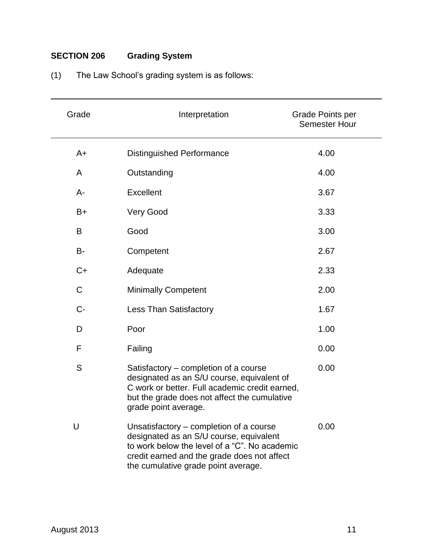# **SECTION 206 Grading System**

| Grade       | Interpretation                                                                                                                                                                                                            | Grade Points per<br><b>Semester Hour</b> |
|-------------|---------------------------------------------------------------------------------------------------------------------------------------------------------------------------------------------------------------------------|------------------------------------------|
| $A+$        | <b>Distinguished Performance</b>                                                                                                                                                                                          | 4.00                                     |
| A           | Outstanding                                                                                                                                                                                                               | 4.00                                     |
| $A -$       | Excellent                                                                                                                                                                                                                 | 3.67                                     |
| B+          | Very Good                                                                                                                                                                                                                 | 3.33                                     |
| B           | Good                                                                                                                                                                                                                      | 3.00                                     |
| B-          | Competent                                                                                                                                                                                                                 | 2.67                                     |
| $C+$        | Adequate                                                                                                                                                                                                                  | 2.33                                     |
| $\mathsf C$ | <b>Minimally Competent</b>                                                                                                                                                                                                | 2.00                                     |
| $C -$       | <b>Less Than Satisfactory</b>                                                                                                                                                                                             | 1.67                                     |
| D           | Poor                                                                                                                                                                                                                      | 1.00                                     |
| F           | Failing                                                                                                                                                                                                                   | 0.00                                     |
| S           | Satisfactory – completion of a course<br>designated as an S/U course, equivalent of<br>C work or better. Full academic credit earned,<br>but the grade does not affect the cumulative<br>grade point average.             | 0.00                                     |
| U           | Unsatisfactory – completion of a course<br>designated as an S/U course, equivalent<br>to work below the level of a "C". No academic<br>credit earned and the grade does not affect<br>the cumulative grade point average. | 0.00                                     |

# (1) The Law School's grading system is as follows: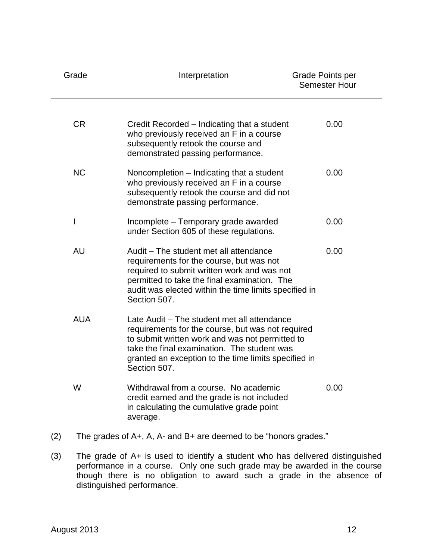| Grade                                                                   | Interpretation                                                                                                                                                                                                                                                             | Grade Points per<br><b>Semester Hour</b> |  |
|-------------------------------------------------------------------------|----------------------------------------------------------------------------------------------------------------------------------------------------------------------------------------------------------------------------------------------------------------------------|------------------------------------------|--|
| <b>CR</b>                                                               | Credit Recorded – Indicating that a student<br>who previously received an F in a course<br>subsequently retook the course and<br>demonstrated passing performance.                                                                                                         | 0.00                                     |  |
| <b>NC</b>                                                               | Noncompletion - Indicating that a student<br>who previously received an F in a course<br>subsequently retook the course and did not<br>demonstrate passing performance.                                                                                                    | 0.00                                     |  |
|                                                                         | Incomplete – Temporary grade awarded<br>under Section 605 of these regulations.                                                                                                                                                                                            | 0.00                                     |  |
| <b>AU</b>                                                               | Audit – The student met all attendance<br>requirements for the course, but was not<br>required to submit written work and was not<br>permitted to take the final examination. The<br>audit was elected within the time limits specified in<br>Section 507.                 | 0.00                                     |  |
| <b>AUA</b>                                                              | Late Audit – The student met all attendance<br>requirements for the course, but was not required<br>to submit written work and was not permitted to<br>take the final examination. The student was<br>granted an exception to the time limits specified in<br>Section 507. |                                          |  |
| W                                                                       | Withdrawal from a course. No academic<br>credit earned and the grade is not included<br>in calculating the cumulative grade point<br>average.                                                                                                                              | 0.00                                     |  |
| The grades of A+, A, A- and B+ are deemed to be "honors grades."<br>(2) |                                                                                                                                                                                                                                                                            |                                          |  |

(3) The grade of A+ is used to identify a student who has delivered distinguished performance in a course. Only one such grade may be awarded in the course though there is no obligation to award such a grade in the absence of distinguished performance.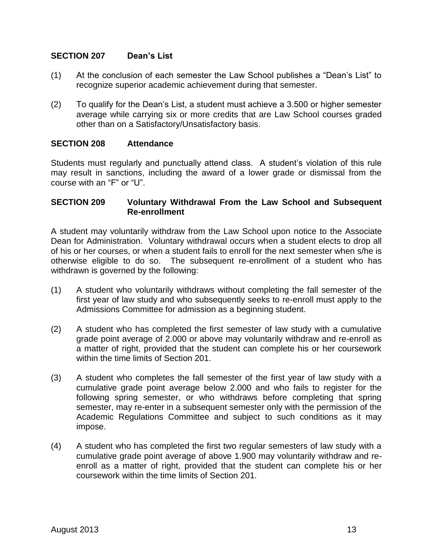#### **SECTION 207 Dean's List**

- (1) At the conclusion of each semester the Law School publishes a "Dean's List" to recognize superior academic achievement during that semester.
- (2) To qualify for the Dean's List, a student must achieve a 3.500 or higher semester average while carrying six or more credits that are Law School courses graded other than on a Satisfactory/Unsatisfactory basis.

#### **SECTION 208 Attendance**

Students must regularly and punctually attend class. A student's violation of this rule may result in sanctions, including the award of a lower grade or dismissal from the course with an "F" or "U".

#### **SECTION 209 Voluntary Withdrawal From the Law School and Subsequent Re-enrollment**

A student may voluntarily withdraw from the Law School upon notice to the Associate Dean for Administration. Voluntary withdrawal occurs when a student elects to drop all of his or her courses, or when a student fails to enroll for the next semester when s/he is otherwise eligible to do so. The subsequent re-enrollment of a student who has withdrawn is governed by the following:

- (1) A student who voluntarily withdraws without completing the fall semester of the first year of law study and who subsequently seeks to re-enroll must apply to the Admissions Committee for admission as a beginning student.
- (2) A student who has completed the first semester of law study with a cumulative grade point average of 2.000 or above may voluntarily withdraw and re-enroll as a matter of right, provided that the student can complete his or her coursework within the time limits of Section 201.
- (3) A student who completes the fall semester of the first year of law study with a cumulative grade point average below 2.000 and who fails to register for the following spring semester, or who withdraws before completing that spring semester, may re-enter in a subsequent semester only with the permission of the Academic Regulations Committee and subject to such conditions as it may impose.
- (4) A student who has completed the first two regular semesters of law study with a cumulative grade point average of above 1.900 may voluntarily withdraw and reenroll as a matter of right, provided that the student can complete his or her coursework within the time limits of Section 201.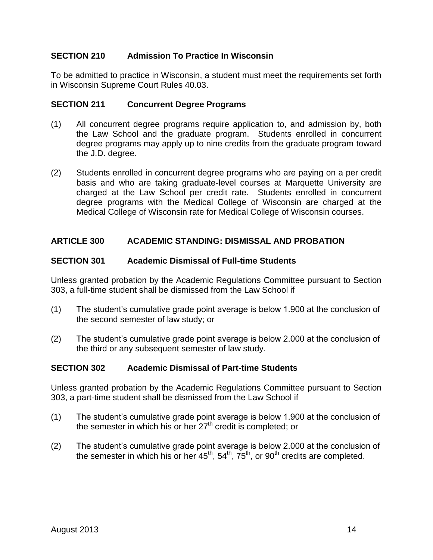## **SECTION 210 Admission To Practice In Wisconsin**

To be admitted to practice in Wisconsin, a student must meet the requirements set forth in Wisconsin Supreme Court Rules 40.03.

## **SECTION 211 Concurrent Degree Programs**

- (1) All concurrent degree programs require application to, and admission by, both the Law School and the graduate program. Students enrolled in concurrent degree programs may apply up to nine credits from the graduate program toward the J.D. degree.
- (2) Students enrolled in concurrent degree programs who are paying on a per credit basis and who are taking graduate-level courses at Marquette University are charged at the Law School per credit rate. Students enrolled in concurrent degree programs with the Medical College of Wisconsin are charged at the Medical College of Wisconsin rate for Medical College of Wisconsin courses.

#### **ARTICLE 300 ACADEMIC STANDING: DISMISSAL AND PROBATION**

#### **SECTION 301 Academic Dismissal of Full-time Students**

Unless granted probation by the Academic Regulations Committee pursuant to Section 303, a full-time student shall be dismissed from the Law School if

- (1) The student's cumulative grade point average is below 1.900 at the conclusion of the second semester of law study; or
- (2) The student's cumulative grade point average is below 2.000 at the conclusion of the third or any subsequent semester of law study.

#### **SECTION 302 Academic Dismissal of Part-time Students**

Unless granted probation by the Academic Regulations Committee pursuant to Section 303, a part-time student shall be dismissed from the Law School if

- (1) The student's cumulative grade point average is below 1.900 at the conclusion of the semester in which his or her  $27<sup>th</sup>$  credit is completed; or
- (2) The student's cumulative grade point average is below 2.000 at the conclusion of the semester in which his or her  $45^{th}$ ,  $54^{th}$ ,  $75^{th}$ , or  $90^{th}$  credits are completed.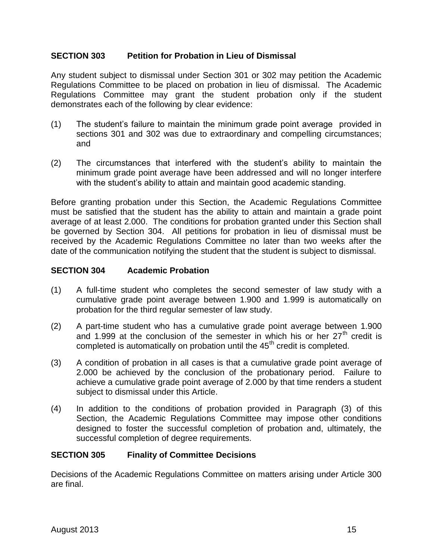#### **SECTION 303 Petition for Probation in Lieu of Dismissal**

Any student subject to dismissal under Section 301 or 302 may petition the Academic Regulations Committee to be placed on probation in lieu of dismissal. The Academic Regulations Committee may grant the student probation only if the student demonstrates each of the following by clear evidence:

- (1) The student's failure to maintain the minimum grade point average provided in sections 301 and 302 was due to extraordinary and compelling circumstances; and
- (2) The circumstances that interfered with the student's ability to maintain the minimum grade point average have been addressed and will no longer interfere with the student's ability to attain and maintain good academic standing.

Before granting probation under this Section, the Academic Regulations Committee must be satisfied that the student has the ability to attain and maintain a grade point average of at least 2.000. The conditions for probation granted under this Section shall be governed by Section 304. All petitions for probation in lieu of dismissal must be received by the Academic Regulations Committee no later than two weeks after the date of the communication notifying the student that the student is subject to dismissal.

#### **SECTION 304 Academic Probation**

- (1) A full-time student who completes the second semester of law study with a cumulative grade point average between 1.900 and 1.999 is automatically on probation for the third regular semester of law study.
- (2) A part-time student who has a cumulative grade point average between 1.900 and 1.999 at the conclusion of the semester in which his or her  $27<sup>th</sup>$  credit is completed is automatically on probation until the  $45<sup>th</sup>$  credit is completed.
- (3) A condition of probation in all cases is that a cumulative grade point average of 2.000 be achieved by the conclusion of the probationary period. Failure to achieve a cumulative grade point average of 2.000 by that time renders a student subject to dismissal under this Article.
- (4) In addition to the conditions of probation provided in Paragraph (3) of this Section, the Academic Regulations Committee may impose other conditions designed to foster the successful completion of probation and, ultimately, the successful completion of degree requirements.

#### **SECTION 305 Finality of Committee Decisions**

Decisions of the Academic Regulations Committee on matters arising under Article 300 are final.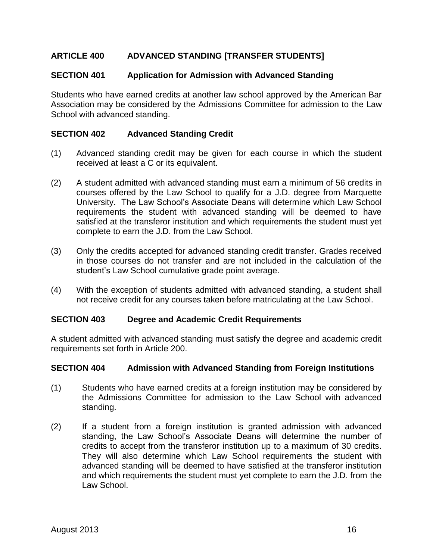## **ARTICLE 400 ADVANCED STANDING [TRANSFER STUDENTS]**

#### **SECTION 401 Application for Admission with Advanced Standing**

Students who have earned credits at another law school approved by the American Bar Association may be considered by the Admissions Committee for admission to the Law School with advanced standing.

#### **SECTION 402 Advanced Standing Credit**

- (1) Advanced standing credit may be given for each course in which the student received at least a C or its equivalent.
- (2) A student admitted with advanced standing must earn a minimum of 56 credits in courses offered by the Law School to qualify for a J.D. degree from Marquette University. The Law School's Associate Deans will determine which Law School requirements the student with advanced standing will be deemed to have satisfied at the transferor institution and which requirements the student must yet complete to earn the J.D. from the Law School.
- (3) Only the credits accepted for advanced standing credit transfer. Grades received in those courses do not transfer and are not included in the calculation of the student's Law School cumulative grade point average.
- (4) With the exception of students admitted with advanced standing, a student shall not receive credit for any courses taken before matriculating at the Law School.

#### **SECTION 403 Degree and Academic Credit Requirements**

A student admitted with advanced standing must satisfy the degree and academic credit requirements set forth in Article 200.

#### **SECTION 404 Admission with Advanced Standing from Foreign Institutions**

- (1) Students who have earned credits at a foreign institution may be considered by the Admissions Committee for admission to the Law School with advanced standing.
- (2) If a student from a foreign institution is granted admission with advanced standing, the Law School's Associate Deans will determine the number of credits to accept from the transferor institution up to a maximum of 30 credits. They will also determine which Law School requirements the student with advanced standing will be deemed to have satisfied at the transferor institution and which requirements the student must yet complete to earn the J.D. from the Law School.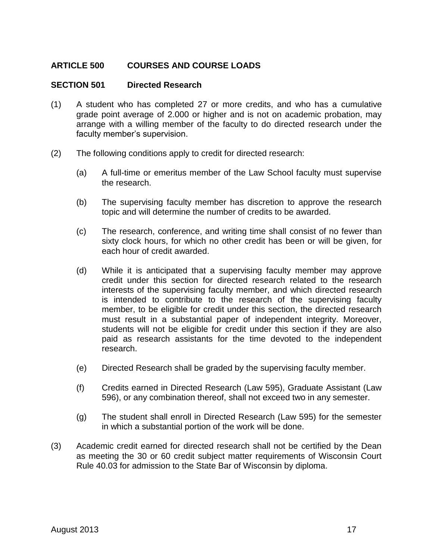## **ARTICLE 500 COURSES AND COURSE LOADS**

#### **SECTION 501 Directed Research**

- (1) A student who has completed 27 or more credits, and who has a cumulative grade point average of 2.000 or higher and is not on academic probation, may arrange with a willing member of the faculty to do directed research under the faculty member's supervision.
- (2) The following conditions apply to credit for directed research:
	- (a) A full-time or emeritus member of the Law School faculty must supervise the research.
	- (b) The supervising faculty member has discretion to approve the research topic and will determine the number of credits to be awarded.
	- (c) The research, conference, and writing time shall consist of no fewer than sixty clock hours, for which no other credit has been or will be given, for each hour of credit awarded.
	- (d) While it is anticipated that a supervising faculty member may approve credit under this section for directed research related to the research interests of the supervising faculty member, and which directed research is intended to contribute to the research of the supervising faculty member, to be eligible for credit under this section, the directed research must result in a substantial paper of independent integrity. Moreover, students will not be eligible for credit under this section if they are also paid as research assistants for the time devoted to the independent research.
	- (e) Directed Research shall be graded by the supervising faculty member.
	- (f) Credits earned in Directed Research (Law 595), Graduate Assistant (Law 596), or any combination thereof, shall not exceed two in any semester.
	- (g) The student shall enroll in Directed Research (Law 595) for the semester in which a substantial portion of the work will be done.
- (3) Academic credit earned for directed research shall not be certified by the Dean as meeting the 30 or 60 credit subject matter requirements of Wisconsin Court Rule 40.03 for admission to the State Bar of Wisconsin by diploma.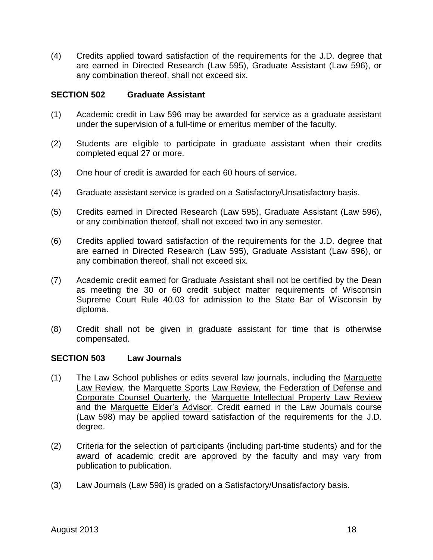(4) Credits applied toward satisfaction of the requirements for the J.D. degree that are earned in Directed Research (Law 595), Graduate Assistant (Law 596), or any combination thereof, shall not exceed six.

#### **SECTION 502 Graduate Assistant**

- (1) Academic credit in Law 596 may be awarded for service as a graduate assistant under the supervision of a full-time or emeritus member of the faculty.
- (2) Students are eligible to participate in graduate assistant when their credits completed equal 27 or more.
- (3) One hour of credit is awarded for each 60 hours of service.
- (4) Graduate assistant service is graded on a Satisfactory/Unsatisfactory basis.
- (5) Credits earned in Directed Research (Law 595), Graduate Assistant (Law 596), or any combination thereof, shall not exceed two in any semester.
- (6) Credits applied toward satisfaction of the requirements for the J.D. degree that are earned in Directed Research (Law 595), Graduate Assistant (Law 596), or any combination thereof, shall not exceed six.
- (7) Academic credit earned for Graduate Assistant shall not be certified by the Dean as meeting the 30 or 60 credit subject matter requirements of Wisconsin Supreme Court Rule 40.03 for admission to the State Bar of Wisconsin by diploma.
- (8) Credit shall not be given in graduate assistant for time that is otherwise compensated.

#### **SECTION 503 Law Journals**

- (1) The Law School publishes or edits several law journals, including the Marquette Law Review, the Marquette Sports Law Review, the Federation of Defense and Corporate Counsel Quarterly, the Marquette Intellectual Property Law Review and the Marquette Elder's Advisor. Credit earned in the Law Journals course (Law 598) may be applied toward satisfaction of the requirements for the J.D. degree.
- (2) Criteria for the selection of participants (including part-time students) and for the award of academic credit are approved by the faculty and may vary from publication to publication.
- (3) Law Journals (Law 598) is graded on a Satisfactory/Unsatisfactory basis.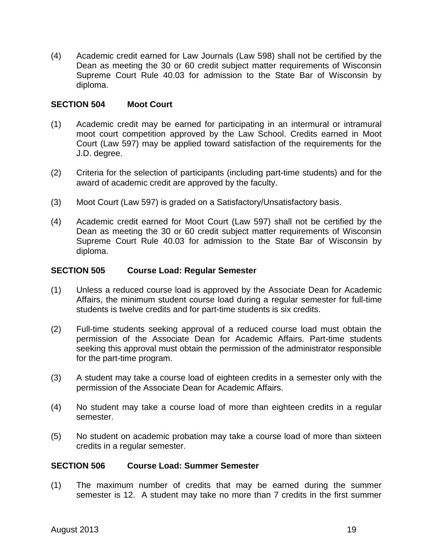(4) Academic credit earned for Law Journals (Law 598) shall not be certified by the Dean as meeting the 30 or 60 credit subject matter requirements of Wisconsin Supreme Court Rule 40.03 for admission to the State Bar of Wisconsin by diploma.

#### **SECTION 504 Moot Court**

- (1) Academic credit may be earned for participating in an intermural or intramural moot court competition approved by the Law School. Credits earned in Moot Court (Law 597) may be applied toward satisfaction of the requirements for the J.D. degree.
- (2) Criteria for the selection of participants (including part-time students) and for the award of academic credit are approved by the faculty.
- (3) Moot Court (Law 597) is graded on a Satisfactory/Unsatisfactory basis.
- (4) Academic credit earned for Moot Court (Law 597) shall not be certified by the Dean as meeting the 30 or 60 credit subject matter requirements of Wisconsin Supreme Court Rule 40.03 for admission to the State Bar of Wisconsin by diploma.

#### **SECTION 505 Course Load: Regular Semester**

- (1) Unless a reduced course load is approved by the Associate Dean for Academic Affairs, the minimum student course load during a regular semester for full-time students is twelve credits and for part-time students is six credits.
- (2) Full-time students seeking approval of a reduced course load must obtain the permission of the Associate Dean for Academic Affairs. Part-time students seeking this approval must obtain the permission of the administrator responsible for the part-time program.
- (3) A student may take a course load of eighteen credits in a semester only with the permission of the Associate Dean for Academic Affairs.
- (4) No student may take a course load of more than eighteen credits in a regular semester.
- (5) No student on academic probation may take a course load of more than sixteen credits in a regular semester.

#### **SECTION 506 Course Load: Summer Semester**

(1) The maximum number of credits that may be earned during the summer semester is 12. A student may take no more than 7 credits in the first summer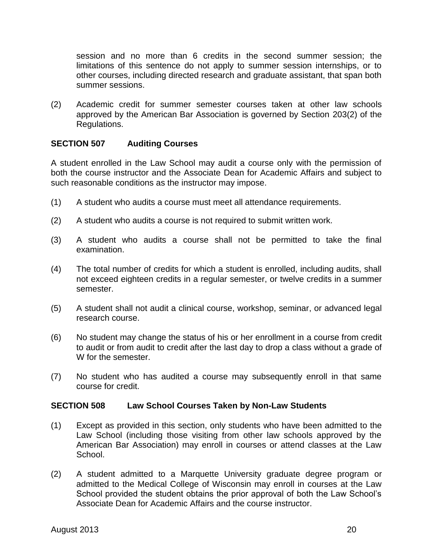session and no more than 6 credits in the second summer session; the limitations of this sentence do not apply to summer session internships, or to other courses, including directed research and graduate assistant, that span both summer sessions.

(2) Academic credit for summer semester courses taken at other law schools approved by the American Bar Association is governed by Section 203(2) of the Regulations.

## **SECTION 507 Auditing Courses**

A student enrolled in the Law School may audit a course only with the permission of both the course instructor and the Associate Dean for Academic Affairs and subject to such reasonable conditions as the instructor may impose.

- (1) A student who audits a course must meet all attendance requirements.
- (2) A student who audits a course is not required to submit written work.
- (3) A student who audits a course shall not be permitted to take the final examination.
- (4) The total number of credits for which a student is enrolled, including audits, shall not exceed eighteen credits in a regular semester, or twelve credits in a summer semester.
- (5) A student shall not audit a clinical course, workshop, seminar, or advanced legal research course.
- (6) No student may change the status of his or her enrollment in a course from credit to audit or from audit to credit after the last day to drop a class without a grade of W for the semester.
- (7) No student who has audited a course may subsequently enroll in that same course for credit.

#### **SECTION 508 Law School Courses Taken by Non-Law Students**

- (1) Except as provided in this section, only students who have been admitted to the Law School (including those visiting from other law schools approved by the American Bar Association) may enroll in courses or attend classes at the Law School.
- (2) A student admitted to a Marquette University graduate degree program or admitted to the Medical College of Wisconsin may enroll in courses at the Law School provided the student obtains the prior approval of both the Law School's Associate Dean for Academic Affairs and the course instructor.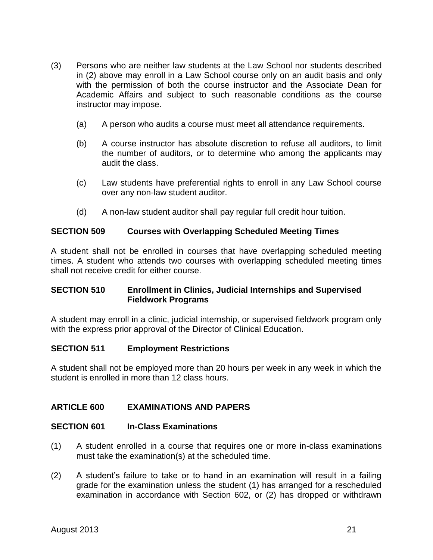- (3) Persons who are neither law students at the Law School nor students described in (2) above may enroll in a Law School course only on an audit basis and only with the permission of both the course instructor and the Associate Dean for Academic Affairs and subject to such reasonable conditions as the course instructor may impose.
	- (a) A person who audits a course must meet all attendance requirements.
	- (b) A course instructor has absolute discretion to refuse all auditors, to limit the number of auditors, or to determine who among the applicants may audit the class.
	- (c) Law students have preferential rights to enroll in any Law School course over any non-law student auditor.
	- (d) A non-law student auditor shall pay regular full credit hour tuition.

## **SECTION 509 Courses with Overlapping Scheduled Meeting Times**

A student shall not be enrolled in courses that have overlapping scheduled meeting times. A student who attends two courses with overlapping scheduled meeting times shall not receive credit for either course.

## **SECTION 510 Enrollment in Clinics, Judicial Internships and Supervised Fieldwork Programs**

A student may enroll in a clinic, judicial internship, or supervised fieldwork program only with the express prior approval of the Director of Clinical Education.

## **SECTION 511 Employment Restrictions**

A student shall not be employed more than 20 hours per week in any week in which the student is enrolled in more than 12 class hours.

## **ARTICLE 600 EXAMINATIONS AND PAPERS**

## **SECTION 601 In-Class Examinations**

- (1) A student enrolled in a course that requires one or more in-class examinations must take the examination(s) at the scheduled time.
- (2) A student's failure to take or to hand in an examination will result in a failing grade for the examination unless the student (1) has arranged for a rescheduled examination in accordance with Section 602, or (2) has dropped or withdrawn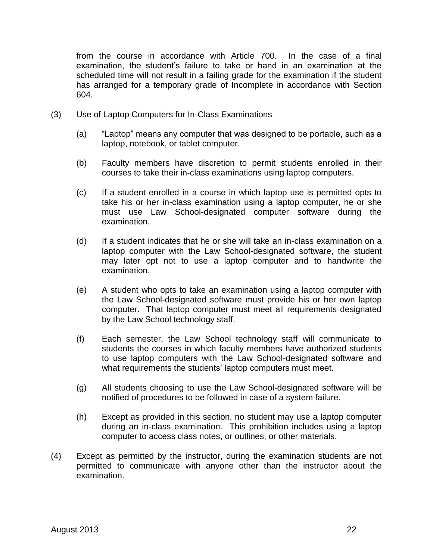from the course in accordance with Article 700. In the case of a final examination, the student's failure to take or hand in an examination at the scheduled time will not result in a failing grade for the examination if the student has arranged for a temporary grade of Incomplete in accordance with Section 604.

- (3) Use of Laptop Computers for In-Class Examinations
	- (a) "Laptop" means any computer that was designed to be portable, such as a laptop, notebook, or tablet computer.
	- (b) Faculty members have discretion to permit students enrolled in their courses to take their in-class examinations using laptop computers.
	- (c) If a student enrolled in a course in which laptop use is permitted opts to take his or her in-class examination using a laptop computer, he or she must use Law School-designated computer software during the examination.
	- (d) If a student indicates that he or she will take an in-class examination on a laptop computer with the Law School-designated software, the student may later opt not to use a laptop computer and to handwrite the examination.
	- (e) A student who opts to take an examination using a laptop computer with the Law School-designated software must provide his or her own laptop computer. That laptop computer must meet all requirements designated by the Law School technology staff.
	- (f) Each semester, the Law School technology staff will communicate to students the courses in which faculty members have authorized students to use laptop computers with the Law School-designated software and what requirements the students' laptop computers must meet.
	- (g) All students choosing to use the Law School-designated software will be notified of procedures to be followed in case of a system failure.
	- (h) Except as provided in this section, no student may use a laptop computer during an in-class examination. This prohibition includes using a laptop computer to access class notes, or outlines, or other materials.
- (4) Except as permitted by the instructor, during the examination students are not permitted to communicate with anyone other than the instructor about the examination.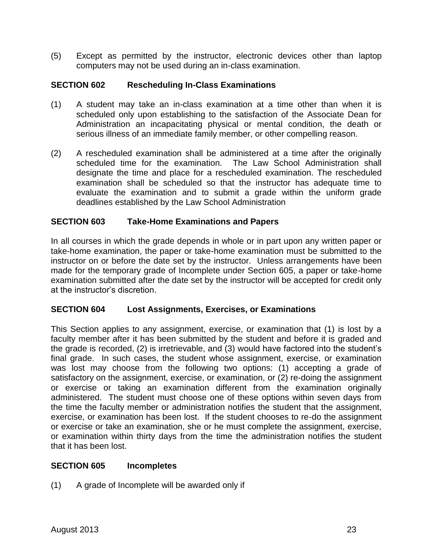(5) Except as permitted by the instructor, electronic devices other than laptop computers may not be used during an in-class examination.

## **SECTION 602 Rescheduling In-Class Examinations**

- (1) A student may take an in-class examination at a time other than when it is scheduled only upon establishing to the satisfaction of the Associate Dean for Administration an incapacitating physical or mental condition, the death or serious illness of an immediate family member, or other compelling reason.
- (2) A rescheduled examination shall be administered at a time after the originally scheduled time for the examination. The Law School Administration shall designate the time and place for a rescheduled examination. The rescheduled examination shall be scheduled so that the instructor has adequate time to evaluate the examination and to submit a grade within the uniform grade deadlines established by the Law School Administration

#### **SECTION 603 Take-Home Examinations and Papers**

In all courses in which the grade depends in whole or in part upon any written paper or take-home examination, the paper or take-home examination must be submitted to the instructor on or before the date set by the instructor. Unless arrangements have been made for the temporary grade of Incomplete under Section 605, a paper or take-home examination submitted after the date set by the instructor will be accepted for credit only at the instructor's discretion.

#### **SECTION 604 Lost Assignments, Exercises, or Examinations**

This Section applies to any assignment, exercise, or examination that (1) is lost by a faculty member after it has been submitted by the student and before it is graded and the grade is recorded, (2) is irretrievable, and (3) would have factored into the student's final grade. In such cases, the student whose assignment, exercise, or examination was lost may choose from the following two options: (1) accepting a grade of satisfactory on the assignment, exercise, or examination, or (2) re-doing the assignment or exercise or taking an examination different from the examination originally administered. The student must choose one of these options within seven days from the time the faculty member or administration notifies the student that the assignment, exercise, or examination has been lost. If the student chooses to re-do the assignment or exercise or take an examination, she or he must complete the assignment, exercise, or examination within thirty days from the time the administration notifies the student that it has been lost.

#### **SECTION 605 Incompletes**

(1) A grade of Incomplete will be awarded only if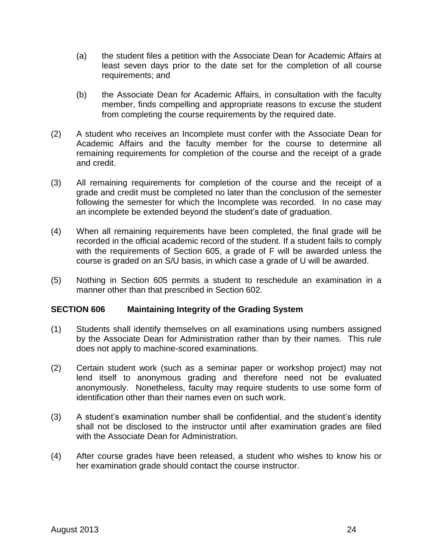- (a) the student files a petition with the Associate Dean for Academic Affairs at least seven days prior to the date set for the completion of all course requirements; and
- (b) the Associate Dean for Academic Affairs, in consultation with the faculty member, finds compelling and appropriate reasons to excuse the student from completing the course requirements by the required date.
- (2) A student who receives an Incomplete must confer with the Associate Dean for Academic Affairs and the faculty member for the course to determine all remaining requirements for completion of the course and the receipt of a grade and credit.
- (3) All remaining requirements for completion of the course and the receipt of a grade and credit must be completed no later than the conclusion of the semester following the semester for which the Incomplete was recorded. In no case may an incomplete be extended beyond the student's date of graduation.
- (4) When all remaining requirements have been completed, the final grade will be recorded in the official academic record of the student. If a student fails to comply with the requirements of Section 605, a grade of F will be awarded unless the course is graded on an S/U basis, in which case a grade of U will be awarded.
- (5) Nothing in Section 605 permits a student to reschedule an examination in a manner other than that prescribed in Section 602.

#### **SECTION 606 Maintaining Integrity of the Grading System**

- (1) Students shall identify themselves on all examinations using numbers assigned by the Associate Dean for Administration rather than by their names. This rule does not apply to machine-scored examinations.
- (2) Certain student work (such as a seminar paper or workshop project) may not lend itself to anonymous grading and therefore need not be evaluated anonymously. Nonetheless, faculty may require students to use some form of identification other than their names even on such work.
- (3) A student's examination number shall be confidential, and the student's identity shall not be disclosed to the instructor until after examination grades are filed with the Associate Dean for Administration.
- (4) After course grades have been released, a student who wishes to know his or her examination grade should contact the course instructor.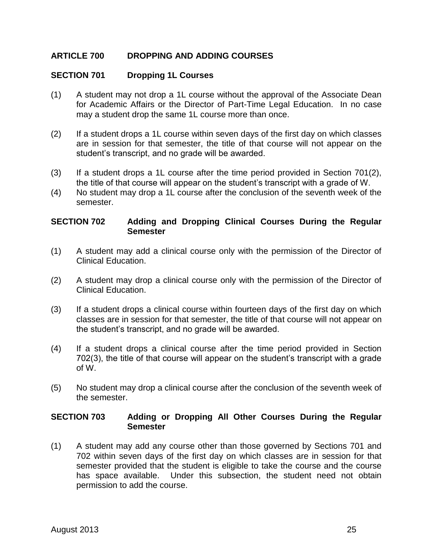## **ARTICLE 700 DROPPING AND ADDING COURSES**

#### **SECTION 701 Dropping 1L Courses**

- (1) A student may not drop a 1L course without the approval of the Associate Dean for Academic Affairs or the Director of Part-Time Legal Education. In no case may a student drop the same 1L course more than once.
- (2) If a student drops a 1L course within seven days of the first day on which classes are in session for that semester, the title of that course will not appear on the student's transcript, and no grade will be awarded.
- (3) If a student drops a 1L course after the time period provided in Section 701(2), the title of that course will appear on the student's transcript with a grade of W.
- (4) No student may drop a 1L course after the conclusion of the seventh week of the semester.

#### **SECTION 702 Adding and Dropping Clinical Courses During the Regular Semester**

- (1) A student may add a clinical course only with the permission of the Director of Clinical Education.
- (2) A student may drop a clinical course only with the permission of the Director of Clinical Education.
- (3) If a student drops a clinical course within fourteen days of the first day on which classes are in session for that semester, the title of that course will not appear on the student's transcript, and no grade will be awarded.
- (4) If a student drops a clinical course after the time period provided in Section 702(3), the title of that course will appear on the student's transcript with a grade of W.
- (5) No student may drop a clinical course after the conclusion of the seventh week of the semester.

#### **SECTION 703 Adding or Dropping All Other Courses During the Regular Semester**

(1) A student may add any course other than those governed by Sections 701 and 702 within seven days of the first day on which classes are in session for that semester provided that the student is eligible to take the course and the course has space available. Under this subsection, the student need not obtain permission to add the course.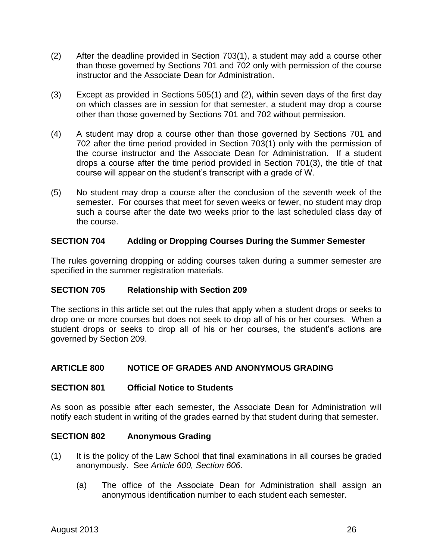- (2) After the deadline provided in Section 703(1), a student may add a course other than those governed by Sections 701 and 702 only with permission of the course instructor and the Associate Dean for Administration.
- (3) Except as provided in Sections 505(1) and (2), within seven days of the first day on which classes are in session for that semester, a student may drop a course other than those governed by Sections 701 and 702 without permission.
- (4) A student may drop a course other than those governed by Sections 701 and 702 after the time period provided in Section 703(1) only with the permission of the course instructor and the Associate Dean for Administration. If a student drops a course after the time period provided in Section 701(3), the title of that course will appear on the student's transcript with a grade of W.
- (5) No student may drop a course after the conclusion of the seventh week of the semester. For courses that meet for seven weeks or fewer, no student may drop such a course after the date two weeks prior to the last scheduled class day of the course.

## **SECTION 704 Adding or Dropping Courses During the Summer Semester**

The rules governing dropping or adding courses taken during a summer semester are specified in the summer registration materials.

## **SECTION 705 Relationship with Section 209**

The sections in this article set out the rules that apply when a student drops or seeks to drop one or more courses but does not seek to drop all of his or her courses. When a student drops or seeks to drop all of his or her courses, the student's actions are governed by Section 209.

## **ARTICLE 800 NOTICE OF GRADES AND ANONYMOUS GRADING**

#### **SECTION 801 Official Notice to Students**

As soon as possible after each semester, the Associate Dean for Administration will notify each student in writing of the grades earned by that student during that semester.

#### **SECTION 802 Anonymous Grading**

- (1) It is the policy of the Law School that final examinations in all courses be graded anonymously. See *Article 600, Section 606*.
	- (a) The office of the Associate Dean for Administration shall assign an anonymous identification number to each student each semester.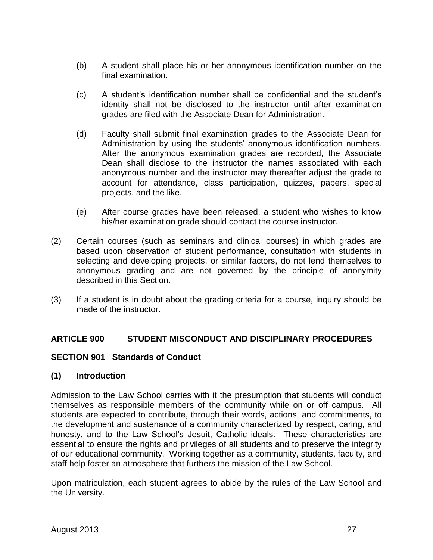- (b) A student shall place his or her anonymous identification number on the final examination.
- (c) A student's identification number shall be confidential and the student's identity shall not be disclosed to the instructor until after examination grades are filed with the Associate Dean for Administration.
- (d) Faculty shall submit final examination grades to the Associate Dean for Administration by using the students' anonymous identification numbers. After the anonymous examination grades are recorded, the Associate Dean shall disclose to the instructor the names associated with each anonymous number and the instructor may thereafter adjust the grade to account for attendance, class participation, quizzes, papers, special projects, and the like.
- (e) After course grades have been released, a student who wishes to know his/her examination grade should contact the course instructor.
- (2) Certain courses (such as seminars and clinical courses) in which grades are based upon observation of student performance, consultation with students in selecting and developing projects, or similar factors, do not lend themselves to anonymous grading and are not governed by the principle of anonymity described in this Section.
- (3) If a student is in doubt about the grading criteria for a course, inquiry should be made of the instructor.

## **ARTICLE 900 STUDENT MISCONDUCT AND DISCIPLINARY PROCEDURES**

## **SECTION 901 Standards of Conduct**

## **(1) Introduction**

Admission to the Law School carries with it the presumption that students will conduct themselves as responsible members of the community while on or off campus. All students are expected to contribute, through their words, actions, and commitments, to the development and sustenance of a community characterized by respect, caring, and honesty, and to the Law School's Jesuit, Catholic ideals. These characteristics are essential to ensure the rights and privileges of all students and to preserve the integrity of our educational community. Working together as a community, students, faculty, and staff help foster an atmosphere that furthers the mission of the Law School.

Upon matriculation, each student agrees to abide by the rules of the Law School and the University.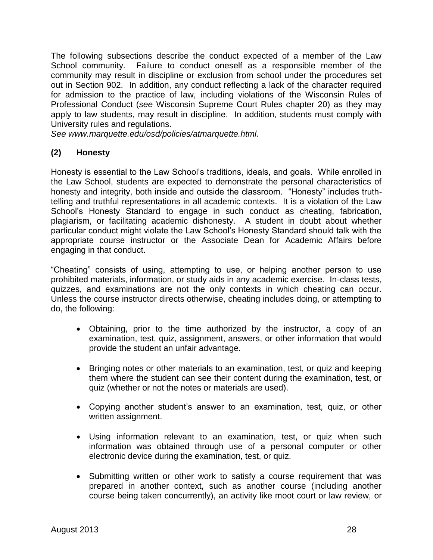The following subsections describe the conduct expected of a member of the Law School community. Failure to conduct oneself as a responsible member of the community may result in discipline or exclusion from school under the procedures set out in Section 902. In addition, any conduct reflecting a lack of the character required for admission to the practice of law, including violations of the Wisconsin Rules of Professional Conduct (*see* Wisconsin Supreme Court Rules chapter 20) as they may apply to law students, may result in discipline. In addition, students must comply with University rules and regulations.

*See [www.marquette.edu/osd/policies/atmarquette.html.](http://www.marquette.edu/osd/policies/atmarquette.html)* 

## **(2) Honesty**

Honesty is essential to the Law School's traditions, ideals, and goals. While enrolled in the Law School, students are expected to demonstrate the personal characteristics of honesty and integrity, both inside and outside the classroom. "Honesty" includes truthtelling and truthful representations in all academic contexts. It is a violation of the Law School's Honesty Standard to engage in such conduct as cheating, fabrication, plagiarism, or facilitating academic dishonesty. A student in doubt about whether particular conduct might violate the Law School's Honesty Standard should talk with the appropriate course instructor or the Associate Dean for Academic Affairs before engaging in that conduct.

"Cheating" consists of using, attempting to use, or helping another person to use prohibited materials, information, or study aids in any academic exercise. In-class tests, quizzes, and examinations are not the only contexts in which cheating can occur. Unless the course instructor directs otherwise, cheating includes doing, or attempting to do, the following:

- Obtaining, prior to the time authorized by the instructor, a copy of an examination, test, quiz, assignment, answers, or other information that would provide the student an unfair advantage.
- Bringing notes or other materials to an examination, test, or quiz and keeping them where the student can see their content during the examination, test, or quiz (whether or not the notes or materials are used).
- Copying another student's answer to an examination, test, quiz, or other written assignment.
- Using information relevant to an examination, test, or quiz when such information was obtained through use of a personal computer or other electronic device during the examination, test, or quiz.
- Submitting written or other work to satisfy a course requirement that was prepared in another context, such as another course (including another course being taken concurrently), an activity like moot court or law review, or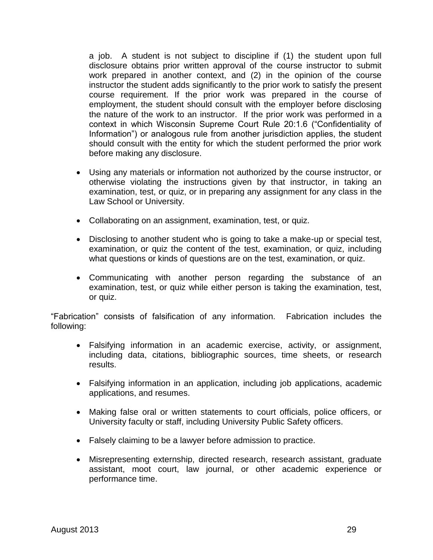a job. A student is not subject to discipline if (1) the student upon full disclosure obtains prior written approval of the course instructor to submit work prepared in another context, and (2) in the opinion of the course instructor the student adds significantly to the prior work to satisfy the present course requirement. If the prior work was prepared in the course of employment, the student should consult with the employer before disclosing the nature of the work to an instructor. If the prior work was performed in a context in which Wisconsin Supreme Court Rule 20:1.6 ("Confidentiality of Information") or analogous rule from another jurisdiction applies, the student should consult with the entity for which the student performed the prior work before making any disclosure.

- Using any materials or information not authorized by the course instructor, or otherwise violating the instructions given by that instructor, in taking an examination, test, or quiz, or in preparing any assignment for any class in the Law School or University.
- Collaborating on an assignment, examination, test, or quiz.
- Disclosing to another student who is going to take a make-up or special test, examination, or quiz the content of the test, examination, or quiz, including what questions or kinds of questions are on the test, examination, or quiz.
- Communicating with another person regarding the substance of an examination, test, or quiz while either person is taking the examination, test, or quiz.

"Fabrication" consists of falsification of any information. Fabrication includes the following:

- Falsifying information in an academic exercise, activity, or assignment, including data, citations, bibliographic sources, time sheets, or research results.
- Falsifying information in an application, including job applications, academic applications, and resumes.
- Making false oral or written statements to court officials, police officers, or University faculty or staff, including University Public Safety officers.
- Falsely claiming to be a lawyer before admission to practice.
- Misrepresenting externship, directed research, research assistant, graduate assistant, moot court, law journal, or other academic experience or performance time.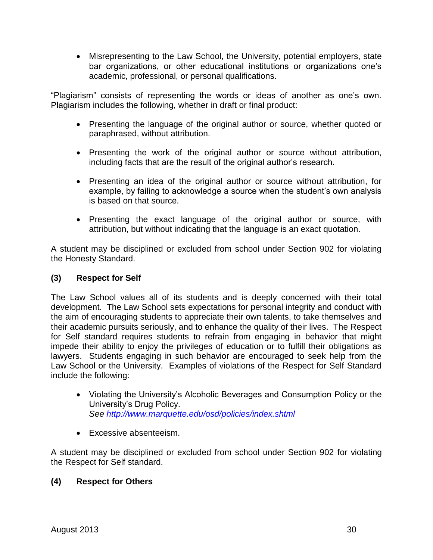Misrepresenting to the Law School, the University, potential employers, state bar organizations, or other educational institutions or organizations one's academic, professional, or personal qualifications.

"Plagiarism" consists of representing the words or ideas of another as one's own. Plagiarism includes the following, whether in draft or final product:

- Presenting the language of the original author or source, whether quoted or paraphrased, without attribution.
- Presenting the work of the original author or source without attribution, including facts that are the result of the original author's research.
- Presenting an idea of the original author or source without attribution, for example, by failing to acknowledge a source when the student's own analysis is based on that source.
- Presenting the exact language of the original author or source, with attribution, but without indicating that the language is an exact quotation.

A student may be disciplined or excluded from school under Section 902 for violating the Honesty Standard.

## **(3) Respect for Self**

The Law School values all of its students and is deeply concerned with their total development. The Law School sets expectations for personal integrity and conduct with the aim of encouraging students to appreciate their own talents, to take themselves and their academic pursuits seriously, and to enhance the quality of their lives. The Respect for Self standard requires students to refrain from engaging in behavior that might impede their ability to enjoy the privileges of education or to fulfill their obligations as lawyers. Students engaging in such behavior are encouraged to seek help from the Law School or the University. Examples of violations of the Respect for Self Standard include the following:

- Violating the University's Alcoholic Beverages and Consumption Policy or the University's Drug Policy. *See<http://www.marquette.edu/osd/policies/index.shtml>*
- Excessive absenteeism.

A student may be disciplined or excluded from school under Section 902 for violating the Respect for Self standard.

## **(4) Respect for Others**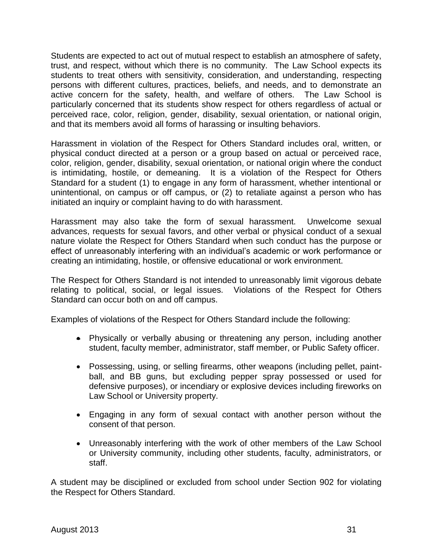Students are expected to act out of mutual respect to establish an atmosphere of safety, trust, and respect, without which there is no community. The Law School expects its students to treat others with sensitivity, consideration, and understanding, respecting persons with different cultures, practices, beliefs, and needs, and to demonstrate an active concern for the safety, health, and welfare of others. The Law School is particularly concerned that its students show respect for others regardless of actual or perceived race, color, religion, gender, disability, sexual orientation, or national origin, and that its members avoid all forms of harassing or insulting behaviors.

Harassment in violation of the Respect for Others Standard includes oral, written, or physical conduct directed at a person or a group based on actual or perceived race, color, religion, gender, disability, sexual orientation, or national origin where the conduct is intimidating, hostile, or demeaning. It is a violation of the Respect for Others Standard for a student (1) to engage in any form of harassment, whether intentional or unintentional, on campus or off campus, or (2) to retaliate against a person who has initiated an inquiry or complaint having to do with harassment.

Harassment may also take the form of sexual harassment. Unwelcome sexual advances, requests for sexual favors, and other verbal or physical conduct of a sexual nature violate the Respect for Others Standard when such conduct has the purpose or effect of unreasonably interfering with an individual's academic or work performance or creating an intimidating, hostile, or offensive educational or work environment.

The Respect for Others Standard is not intended to unreasonably limit vigorous debate relating to political, social, or legal issues. Violations of the Respect for Others Standard can occur both on and off campus.

Examples of violations of the Respect for Others Standard include the following:

- Physically or verbally abusing or threatening any person, including another student, faculty member, administrator, staff member, or Public Safety officer.
- Possessing, using, or selling firearms, other weapons (including pellet, paintball, and BB guns, but excluding pepper spray possessed or used for defensive purposes), or incendiary or explosive devices including fireworks on Law School or University property.
- Engaging in any form of sexual contact with another person without the consent of that person.
- Unreasonably interfering with the work of other members of the Law School or University community, including other students, faculty, administrators, or staff.

A student may be disciplined or excluded from school under Section 902 for violating the Respect for Others Standard.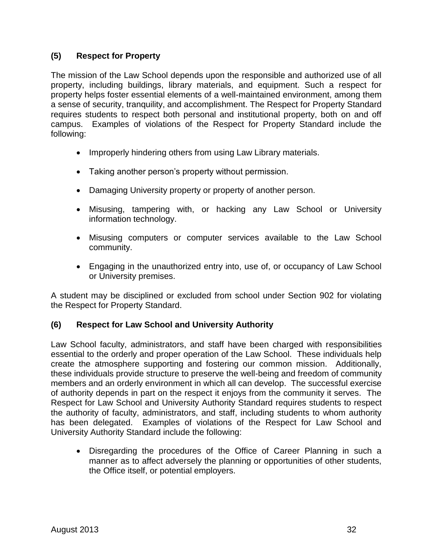## **(5) Respect for Property**

The mission of the Law School depends upon the responsible and authorized use of all property, including buildings, library materials, and equipment. Such a respect for property helps foster essential elements of a well-maintained environment, among them a sense of security, tranquility, and accomplishment. The Respect for Property Standard requires students to respect both personal and institutional property, both on and off campus. Examples of violations of the Respect for Property Standard include the following:

- Improperly hindering others from using Law Library materials.
- Taking another person's property without permission.
- Damaging University property or property of another person.
- Misusing, tampering with, or hacking any Law School or University information technology.
- Misusing computers or computer services available to the Law School community.
- Engaging in the unauthorized entry into, use of, or occupancy of Law School or University premises.

A student may be disciplined or excluded from school under Section 902 for violating the Respect for Property Standard.

## **(6) Respect for Law School and University Authority**

Law School faculty, administrators, and staff have been charged with responsibilities essential to the orderly and proper operation of the Law School. These individuals help create the atmosphere supporting and fostering our common mission. Additionally, these individuals provide structure to preserve the well-being and freedom of community members and an orderly environment in which all can develop. The successful exercise of authority depends in part on the respect it enjoys from the community it serves. The Respect for Law School and University Authority Standard requires students to respect the authority of faculty, administrators, and staff, including students to whom authority has been delegated. Examples of violations of the Respect for Law School and University Authority Standard include the following:

 Disregarding the procedures of the Office of Career Planning in such a manner as to affect adversely the planning or opportunities of other students, the Office itself, or potential employers.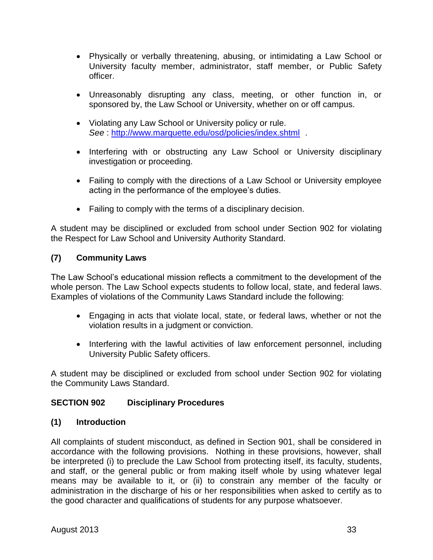- Physically or verbally threatening, abusing, or intimidating a Law School or University faculty member, administrator, staff member, or Public Safety officer.
- Unreasonably disrupting any class, meeting, or other function in, or sponsored by, the Law School or University, whether on or off campus.
- Violating any Law School or University policy or rule. *See* :<http://www.marquette.edu/osd/policies/index.shtml> *.*
- Interfering with or obstructing any Law School or University disciplinary investigation or proceeding.
- Failing to comply with the directions of a Law School or University employee acting in the performance of the employee's duties.
- Failing to comply with the terms of a disciplinary decision.

A student may be disciplined or excluded from school under Section 902 for violating the Respect for Law School and University Authority Standard.

## **(7) Community Laws**

The Law School's educational mission reflects a commitment to the development of the whole person. The Law School expects students to follow local, state, and federal laws. Examples of violations of the Community Laws Standard include the following:

- Engaging in acts that violate local, state, or federal laws, whether or not the violation results in a judgment or conviction.
- Interfering with the lawful activities of law enforcement personnel, including University Public Safety officers.

A student may be disciplined or excluded from school under Section 902 for violating the Community Laws Standard.

## **SECTION 902 Disciplinary Procedures**

## **(1) Introduction**

All complaints of student misconduct, as defined in Section 901, shall be considered in accordance with the following provisions. Nothing in these provisions, however, shall be interpreted (i) to preclude the Law School from protecting itself, its faculty, students, and staff, or the general public or from making itself whole by using whatever legal means may be available to it, or (ii) to constrain any member of the faculty or administration in the discharge of his or her responsibilities when asked to certify as to the good character and qualifications of students for any purpose whatsoever.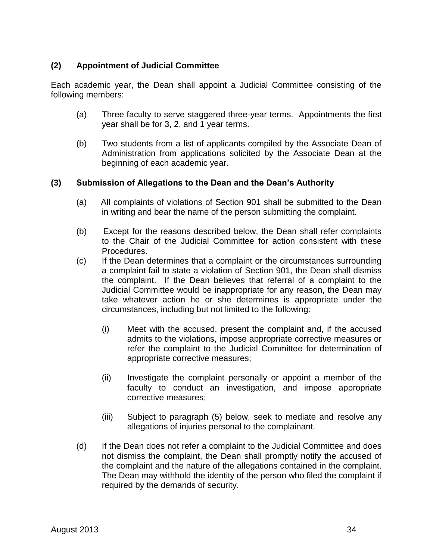## **(2) Appointment of Judicial Committee**

Each academic year, the Dean shall appoint a Judicial Committee consisting of the following members:

- (a) Three faculty to serve staggered three-year terms. Appointments the first year shall be for 3, 2, and 1 year terms.
- (b) Two students from a list of applicants compiled by the Associate Dean of Administration from applications solicited by the Associate Dean at the beginning of each academic year.

## **(3) Submission of Allegations to the Dean and the Dean's Authority**

- (a) All complaints of violations of Section 901 shall be submitted to the Dean in writing and bear the name of the person submitting the complaint.
- (b) Except for the reasons described below, the Dean shall refer complaints to the Chair of the Judicial Committee for action consistent with these Procedures.
- (c) If the Dean determines that a complaint or the circumstances surrounding a complaint fail to state a violation of Section 901, the Dean shall dismiss the complaint. If the Dean believes that referral of a complaint to the Judicial Committee would be inappropriate for any reason, the Dean may take whatever action he or she determines is appropriate under the circumstances, including but not limited to the following:
	- (i) Meet with the accused, present the complaint and, if the accused admits to the violations, impose appropriate corrective measures or refer the complaint to the Judicial Committee for determination of appropriate corrective measures;
	- (ii) Investigate the complaint personally or appoint a member of the faculty to conduct an investigation, and impose appropriate corrective measures;
	- (iii) Subject to paragraph (5) below, seek to mediate and resolve any allegations of injuries personal to the complainant.
- (d) If the Dean does not refer a complaint to the Judicial Committee and does not dismiss the complaint, the Dean shall promptly notify the accused of the complaint and the nature of the allegations contained in the complaint. The Dean may withhold the identity of the person who filed the complaint if required by the demands of security.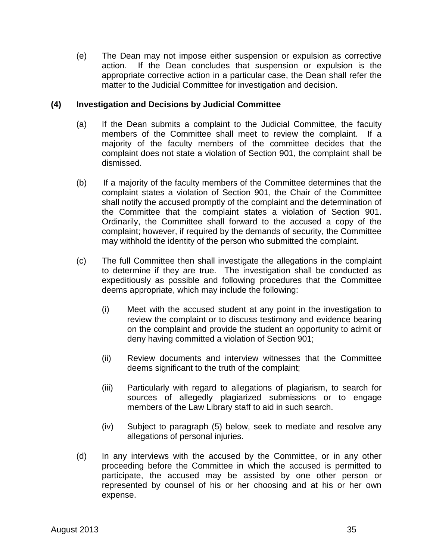(e) The Dean may not impose either suspension or expulsion as corrective action. If the Dean concludes that suspension or expulsion is the appropriate corrective action in a particular case, the Dean shall refer the matter to the Judicial Committee for investigation and decision.

#### **(4) Investigation and Decisions by Judicial Committee**

- (a) If the Dean submits a complaint to the Judicial Committee, the faculty members of the Committee shall meet to review the complaint. If a majority of the faculty members of the committee decides that the complaint does not state a violation of Section 901, the complaint shall be dismissed.
- (b) If a majority of the faculty members of the Committee determines that the complaint states a violation of Section 901, the Chair of the Committee shall notify the accused promptly of the complaint and the determination of the Committee that the complaint states a violation of Section 901. Ordinarily, the Committee shall forward to the accused a copy of the complaint; however, if required by the demands of security, the Committee may withhold the identity of the person who submitted the complaint.
- (c) The full Committee then shall investigate the allegations in the complaint to determine if they are true. The investigation shall be conducted as expeditiously as possible and following procedures that the Committee deems appropriate, which may include the following:
	- (i) Meet with the accused student at any point in the investigation to review the complaint or to discuss testimony and evidence bearing on the complaint and provide the student an opportunity to admit or deny having committed a violation of Section 901;
	- (ii) Review documents and interview witnesses that the Committee deems significant to the truth of the complaint;
	- (iii) Particularly with regard to allegations of plagiarism, to search for sources of allegedly plagiarized submissions or to engage members of the Law Library staff to aid in such search.
	- (iv) Subject to paragraph (5) below, seek to mediate and resolve any allegations of personal injuries.
- (d) In any interviews with the accused by the Committee, or in any other proceeding before the Committee in which the accused is permitted to participate, the accused may be assisted by one other person or represented by counsel of his or her choosing and at his or her own expense.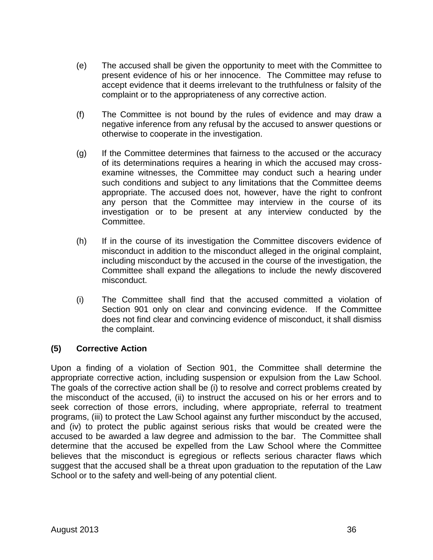- (e) The accused shall be given the opportunity to meet with the Committee to present evidence of his or her innocence. The Committee may refuse to accept evidence that it deems irrelevant to the truthfulness or falsity of the complaint or to the appropriateness of any corrective action.
- (f) The Committee is not bound by the rules of evidence and may draw a negative inference from any refusal by the accused to answer questions or otherwise to cooperate in the investigation.
- (g) If the Committee determines that fairness to the accused or the accuracy of its determinations requires a hearing in which the accused may crossexamine witnesses, the Committee may conduct such a hearing under such conditions and subject to any limitations that the Committee deems appropriate. The accused does not, however, have the right to confront any person that the Committee may interview in the course of its investigation or to be present at any interview conducted by the Committee.
- (h) If in the course of its investigation the Committee discovers evidence of misconduct in addition to the misconduct alleged in the original complaint, including misconduct by the accused in the course of the investigation, the Committee shall expand the allegations to include the newly discovered misconduct.
- (i) The Committee shall find that the accused committed a violation of Section 901 only on clear and convincing evidence. If the Committee does not find clear and convincing evidence of misconduct, it shall dismiss the complaint.

## **(5) Corrective Action**

Upon a finding of a violation of Section 901, the Committee shall determine the appropriate corrective action, including suspension or expulsion from the Law School. The goals of the corrective action shall be (i) to resolve and correct problems created by the misconduct of the accused, (ii) to instruct the accused on his or her errors and to seek correction of those errors, including, where appropriate, referral to treatment programs, (iii) to protect the Law School against any further misconduct by the accused, and (iv) to protect the public against serious risks that would be created were the accused to be awarded a law degree and admission to the bar. The Committee shall determine that the accused be expelled from the Law School where the Committee believes that the misconduct is egregious or reflects serious character flaws which suggest that the accused shall be a threat upon graduation to the reputation of the Law School or to the safety and well-being of any potential client.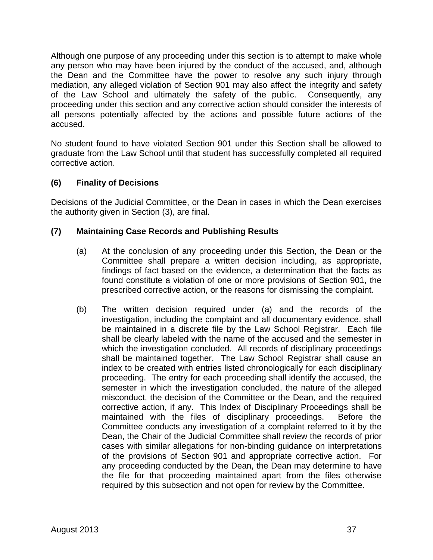Although one purpose of any proceeding under this section is to attempt to make whole any person who may have been injured by the conduct of the accused, and, although the Dean and the Committee have the power to resolve any such injury through mediation, any alleged violation of Section 901 may also affect the integrity and safety of the Law School and ultimately the safety of the public. Consequently, any proceeding under this section and any corrective action should consider the interests of all persons potentially affected by the actions and possible future actions of the accused.

No student found to have violated Section 901 under this Section shall be allowed to graduate from the Law School until that student has successfully completed all required corrective action.

## **(6) Finality of Decisions**

Decisions of the Judicial Committee, or the Dean in cases in which the Dean exercises the authority given in Section (3), are final.

## **(7) Maintaining Case Records and Publishing Results**

- (a) At the conclusion of any proceeding under this Section, the Dean or the Committee shall prepare a written decision including, as appropriate, findings of fact based on the evidence, a determination that the facts as found constitute a violation of one or more provisions of Section 901, the prescribed corrective action, or the reasons for dismissing the complaint.
- (b) The written decision required under (a) and the records of the investigation, including the complaint and all documentary evidence, shall be maintained in a discrete file by the Law School Registrar. Each file shall be clearly labeled with the name of the accused and the semester in which the investigation concluded. All records of disciplinary proceedings shall be maintained together. The Law School Registrar shall cause an index to be created with entries listed chronologically for each disciplinary proceeding. The entry for each proceeding shall identify the accused, the semester in which the investigation concluded, the nature of the alleged misconduct, the decision of the Committee or the Dean, and the required corrective action, if any. This Index of Disciplinary Proceedings shall be maintained with the files of disciplinary proceedings. Before the Committee conducts any investigation of a complaint referred to it by the Dean, the Chair of the Judicial Committee shall review the records of prior cases with similar allegations for non-binding guidance on interpretations of the provisions of Section 901 and appropriate corrective action. For any proceeding conducted by the Dean, the Dean may determine to have the file for that proceeding maintained apart from the files otherwise required by this subsection and not open for review by the Committee.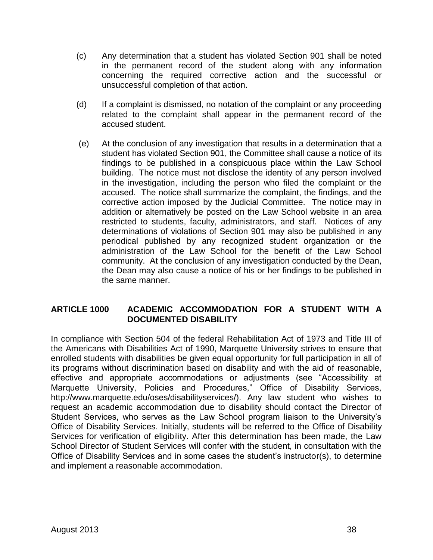- (c) Any determination that a student has violated Section 901 shall be noted in the permanent record of the student along with any information concerning the required corrective action and the successful or unsuccessful completion of that action.
- (d) If a complaint is dismissed, no notation of the complaint or any proceeding related to the complaint shall appear in the permanent record of the accused student.
- (e) At the conclusion of any investigation that results in a determination that a student has violated Section 901, the Committee shall cause a notice of its findings to be published in a conspicuous place within the Law School building. The notice must not disclose the identity of any person involved in the investigation, including the person who filed the complaint or the accused. The notice shall summarize the complaint, the findings, and the corrective action imposed by the Judicial Committee. The notice may in addition or alternatively be posted on the Law School website in an area restricted to students, faculty, administrators, and staff. Notices of any determinations of violations of Section 901 may also be published in any periodical published by any recognized student organization or the administration of the Law School for the benefit of the Law School community. At the conclusion of any investigation conducted by the Dean, the Dean may also cause a notice of his or her findings to be published in the same manner.

## **ARTICLE 1000 ACADEMIC ACCOMMODATION FOR A STUDENT WITH A DOCUMENTED DISABILITY**

In compliance with Section 504 of the federal Rehabilitation Act of 1973 and Title III of the Americans with Disabilities Act of 1990, Marquette University strives to ensure that enrolled students with disabilities be given equal opportunity for full participation in all of its programs without discrimination based on disability and with the aid of reasonable, effective and appropriate accommodations or adjustments (see "Accessibility at Marquette University, Policies and Procedures," Office of Disability Services, http://www.marquette.edu/oses/disabilityservices/). Any law student who wishes to request an academic accommodation due to disability should contact the Director of Student Services, who serves as the Law School program liaison to the University's Office of Disability Services. Initially, students will be referred to the Office of Disability Services for verification of eligibility. After this determination has been made, the Law School Director of Student Services will confer with the student, in consultation with the Office of Disability Services and in some cases the student's instructor(s), to determine and implement a reasonable accommodation.